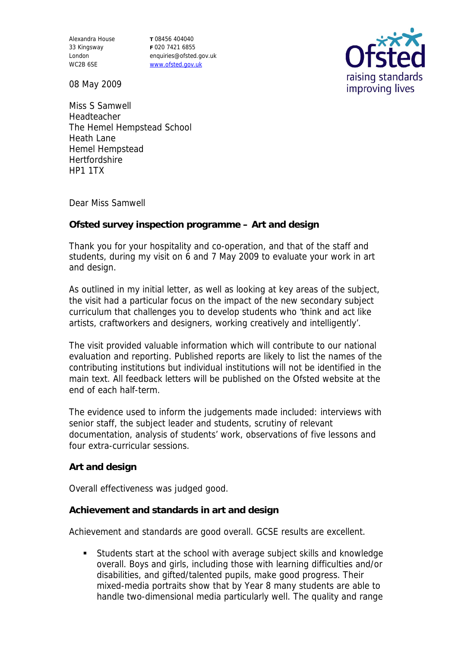Alexandra House 33 Kingsway London WC2B 6SE

**T** 08456 404040 **F** 020 7421 6855 enquiries@ofsted.gov.uk www.ofsted.gov.uk



08 May 2009

Miss S Samwell Headteacher The Hemel Hempstead School Heath Lane Hemel Hempstead Hertfordshire HP1 1TX

Dear Miss Samwell

**Ofsted survey inspection programme – Art and design**

Thank you for your hospitality and co-operation, and that of the staff and students, during my visit on 6 and 7 May 2009 to evaluate your work in art and design.

As outlined in my initial letter, as well as looking at key areas of the subject, the visit had a particular focus on the impact of the new secondary subject curriculum that challenges you to develop students who 'think and act like artists, craftworkers and designers, working creatively and intelligently'.

The visit provided valuable information which will contribute to our national evaluation and reporting. Published reports are likely to list the names of the contributing institutions but individual institutions will not be identified in the main text. All feedback letters will be published on the Ofsted website at the end of each half-term.

The evidence used to inform the judgements made included: interviews with senior staff, the subject leader and students, scrutiny of relevant documentation, analysis of students' work, observations of five lessons and four extra-curricular sessions.

**Art and design**

Overall effectiveness was judged good.

**Achievement and standards in art and design**

Achievement and standards are good overall. GCSE results are excellent.

 Students start at the school with average subject skills and knowledge overall. Boys and girls, including those with learning difficulties and/or disabilities, and gifted/talented pupils, make good progress. Their mixed-media portraits show that by Year 8 many students are able to handle two-dimensional media particularly well. The quality and range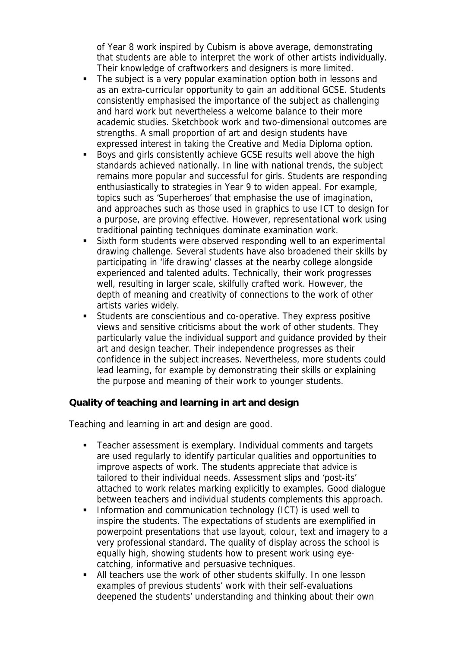of Year 8 work inspired by Cubism is above average, demonstrating that students are able to interpret the work of other artists individually. Their knowledge of craftworkers and designers is more limited.

- The subject is a very popular examination option both in lessons and as an extra-curricular opportunity to gain an additional GCSE. Students consistently emphasised the importance of the subject as challenging and hard work but nevertheless a welcome balance to their more academic studies. Sketchbook work and two-dimensional outcomes are strengths. A small proportion of art and design students have expressed interest in taking the Creative and Media Diploma option.
- Boys and girls consistently achieve GCSE results well above the high standards achieved nationally. In line with national trends, the subject remains more popular and successful for girls. Students are responding enthusiastically to strategies in Year 9 to widen appeal. For example, topics such as 'Superheroes' that emphasise the use of imagination, and approaches such as those used in graphics to use ICT to design for a purpose, are proving effective. However, representational work using traditional painting techniques dominate examination work.
- Sixth form students were observed responding well to an experimental drawing challenge. Several students have also broadened their skills by participating in 'life drawing' classes at the nearby college alongside experienced and talented adults. Technically, their work progresses well, resulting in larger scale, skilfully crafted work. However, the depth of meaning and creativity of connections to the work of other artists varies widely.
- Students are conscientious and co-operative. They express positive views and sensitive criticisms about the work of other students. They particularly value the individual support and guidance provided by their art and design teacher. Their independence progresses as their confidence in the subject increases. Nevertheless, more students could lead learning, for example by demonstrating their skills or explaining the purpose and meaning of their work to younger students.

**Quality of teaching and learning in art and design**

Teaching and learning in art and design are good.

- Teacher assessment is exemplary. Individual comments and targets are used regularly to identify particular qualities and opportunities to improve aspects of work. The students appreciate that advice is tailored to their individual needs. Assessment slips and 'post-its' attached to work relates marking explicitly to examples. Good dialogue between teachers and individual students complements this approach.
- Information and communication technology (ICT) is used well to inspire the students. The expectations of students are exemplified in powerpoint presentations that use layout, colour, text and imagery to a very professional standard. The quality of display across the school is equally high, showing students how to present work using eyecatching, informative and persuasive techniques.
- All teachers use the work of other students skilfully. In one lesson examples of previous students' work with their self-evaluations deepened the students' understanding and thinking about their own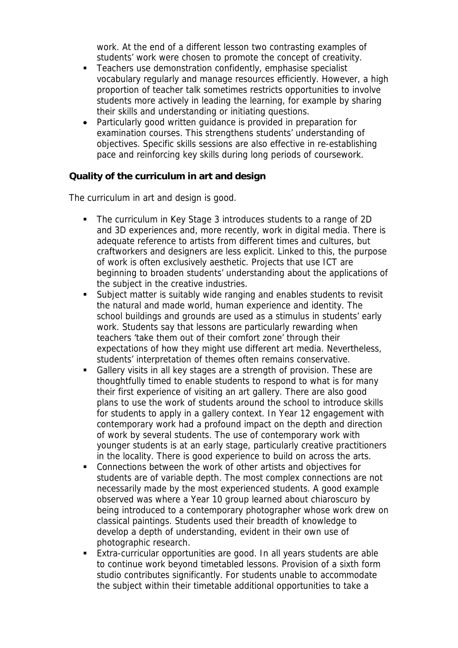work. At the end of a different lesson two contrasting examples of students' work were chosen to promote the concept of creativity.

- Teachers use demonstration confidently, emphasise specialist vocabulary regularly and manage resources efficiently. However, a high proportion of teacher talk sometimes restricts opportunities to involve students more actively in leading the learning, for example by sharing their skills and understanding or initiating questions.
- Particularly good written guidance is provided in preparation for examination courses. This strengthens students' understanding of objectives. Specific skills sessions are also effective in re-establishing pace and reinforcing key skills during long periods of coursework.

## **Quality of the curriculum in art and design**

The curriculum in art and design is good.

- The curriculum in Key Stage 3 introduces students to a range of 2D and 3D experiences and, more recently, work in digital media. There is adequate reference to artists from different times and cultures, but craftworkers and designers are less explicit. Linked to this, the purpose of work is often exclusively aesthetic. Projects that use ICT are beginning to broaden students' understanding about the applications of the subject in the creative industries.
- Subject matter is suitably wide ranging and enables students to revisit the natural and made world, human experience and identity. The school buildings and grounds are used as a stimulus in students' early work. Students say that lessons are particularly rewarding when teachers 'take them out of their comfort zone' through their expectations of how they might use different art media. Nevertheless, students' interpretation of themes often remains conservative.
- Gallery visits in all key stages are a strength of provision. These are thoughtfully timed to enable students to respond to what is for many their first experience of visiting an art gallery. There are also good plans to use the work of students around the school to introduce skills for students to apply in a gallery context. In Year 12 engagement with contemporary work had a profound impact on the depth and direction of work by several students. The use of contemporary work with younger students is at an early stage, particularly creative practitioners in the locality. There is good experience to build on across the arts.
- Connections between the work of other artists and objectives for students are of variable depth. The most complex connections are not necessarily made by the most experienced students. A good example observed was where a Year 10 group learned about chiaroscuro by being introduced to a contemporary photographer whose work drew on classical paintings. Students used their breadth of knowledge to develop a depth of understanding, evident in their own use of photographic research.
- Extra-curricular opportunities are good. In all years students are able to continue work beyond timetabled lessons. Provision of a sixth form studio contributes significantly. For students unable to accommodate the subject within their timetable additional opportunities to take a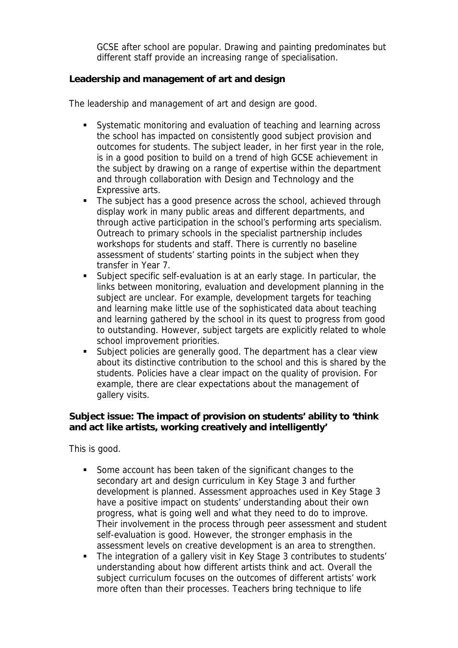GCSE after school are popular. Drawing and painting predominates but different staff provide an increasing range of specialisation.

**Leadership and management of art and design**

The leadership and management of art and design are good.

- Systematic monitoring and evaluation of teaching and learning across the school has impacted on consistently good subject provision and outcomes for students. The subject leader, in her first year in the role, is in a good position to build on a trend of high GCSE achievement in the subject by drawing on a range of expertise within the department and through collaboration with Design and Technology and the Expressive arts.
- The subject has a good presence across the school, achieved through display work in many public areas and different departments, and through active participation in the school's performing arts specialism. Outreach to primary schools in the specialist partnership includes workshops for students and staff. There is currently no baseline assessment of students' starting points in the subject when they transfer in Year 7.
- Subject specific self-evaluation is at an early stage. In particular, the links between monitoring, evaluation and development planning in the subject are unclear. For example, development targets for teaching and learning make little use of the sophisticated data about teaching and learning gathered by the school in its quest to progress from good to outstanding. However, subject targets are explicitly related to whole school improvement priorities.
- Subject policies are generally good. The department has a clear view about its distinctive contribution to the school and this is shared by the students. Policies have a clear impact on the quality of provision. For example, there are clear expectations about the management of gallery visits.

**Subject issue: The impact of provision on students' ability to 'think and act like artists, working creatively and intelligently'** 

This is good.

- Some account has been taken of the significant changes to the secondary art and design curriculum in Key Stage 3 and further development is planned. Assessment approaches used in Key Stage 3 have a positive impact on students' understanding about their own progress, what is going well and what they need to do to improve. Their involvement in the process through peer assessment and student self-evaluation is good. However, the stronger emphasis in the assessment levels on creative development is an area to strengthen.
- The integration of a gallery visit in Key Stage 3 contributes to students' understanding about how different artists think and act. Overall the subject curriculum focuses on the outcomes of different artists' work more often than their processes. Teachers bring technique to life